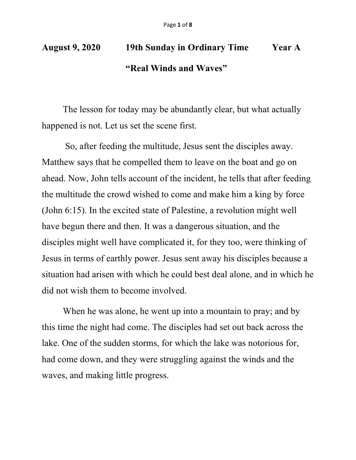## **August 9, 2020 19th Sunday in Ordinary Time Year A "Real Winds and Waves"**

The lesson for today may be abundantly clear, but what actually happened is not. Let us set the scene first.

So, after feeding the multitude, Jesus sent the disciples away. Matthew says that he compelled them to leave on the boat and go on ahead. Now, John tells account of the incident, he tells that after feeding the multitude the crowd wished to come and make him a king by force (John 6:15). In the excited state of Palestine, a revolution might well have begun there and then. It was a dangerous situation, and the disciples might well have complicated it, for they too, were thinking of Jesus in terms of earthly power. Jesus sent away his disciples because a situation had arisen with which he could best deal alone, and in which he did not wish them to become involved.

When he was alone, he went up into a mountain to pray; and by this time the night had come. The disciples had set out back across the lake. One of the sudden storms, for which the lake was notorious for, had come down, and they were struggling against the winds and the waves, and making little progress.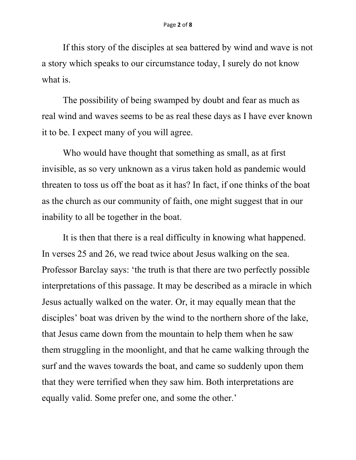If this story of the disciples at sea battered by wind and wave is not a story which speaks to our circumstance today, I surely do not know what is.

The possibility of being swamped by doubt and fear as much as real wind and waves seems to be as real these days as I have ever known it to be. I expect many of you will agree.

Who would have thought that something as small, as at first invisible, as so very unknown as a virus taken hold as pandemic would threaten to toss us off the boat as it has? In fact, if one thinks of the boat as the church as our community of faith, one might suggest that in our inability to all be together in the boat.

It is then that there is a real difficulty in knowing what happened. In verses 25 and 26, we read twice about Jesus walking on the sea. Professor Barclay says: 'the truth is that there are two perfectly possible interpretations of this passage. It may be described as a miracle in which Jesus actually walked on the water. Or, it may equally mean that the disciples' boat was driven by the wind to the northern shore of the lake, that Jesus came down from the mountain to help them when he saw them struggling in the moonlight, and that he came walking through the surf and the waves towards the boat, and came so suddenly upon them that they were terrified when they saw him. Both interpretations are equally valid. Some prefer one, and some the other.'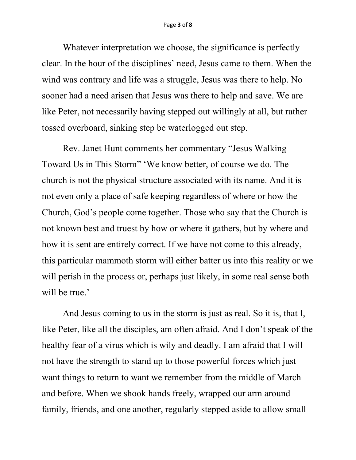Whatever interpretation we choose, the significance is perfectly clear. In the hour of the disciplines' need, Jesus came to them. When the wind was contrary and life was a struggle, Jesus was there to help. No sooner had a need arisen that Jesus was there to help and save. We are like Peter, not necessarily having stepped out willingly at all, but rather tossed overboard, sinking step be waterlogged out step.

Rev. Janet Hunt comments her commentary "Jesus Walking Toward Us in This Storm" 'We know better, of course we do. The church is not the physical structure associated with its name. And it is not even only a place of safe keeping regardless of where or how the Church, God's people come together. Those who say that the Church is not known best and truest by how or where it gathers, but by where and how it is sent are entirely correct. If we have not come to this already, this particular mammoth storm will either batter us into this reality or we will perish in the process or, perhaps just likely, in some real sense both will be true.'

And Jesus coming to us in the storm is just as real. So it is, that I, like Peter, like all the disciples, am often afraid. And I don't speak of the healthy fear of a virus which is wily and deadly. I am afraid that I will not have the strength to stand up to those powerful forces which just want things to return to want we remember from the middle of March and before. When we shook hands freely, wrapped our arm around family, friends, and one another, regularly stepped aside to allow small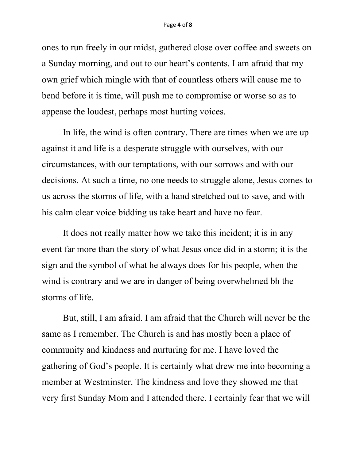ones to run freely in our midst, gathered close over coffee and sweets on a Sunday morning, and out to our heart's contents. I am afraid that my own grief which mingle with that of countless others will cause me to bend before it is time, will push me to compromise or worse so as to appease the loudest, perhaps most hurting voices.

In life, the wind is often contrary. There are times when we are up against it and life is a desperate struggle with ourselves, with our circumstances, with our temptations, with our sorrows and with our decisions. At such a time, no one needs to struggle alone, Jesus comes to us across the storms of life, with a hand stretched out to save, and with his calm clear voice bidding us take heart and have no fear.

It does not really matter how we take this incident; it is in any event far more than the story of what Jesus once did in a storm; it is the sign and the symbol of what he always does for his people, when the wind is contrary and we are in danger of being overwhelmed bh the storms of life.

But, still, I am afraid. I am afraid that the Church will never be the same as I remember. The Church is and has mostly been a place of community and kindness and nurturing for me. I have loved the gathering of God's people. It is certainly what drew me into becoming a member at Westminster. The kindness and love they showed me that very first Sunday Mom and I attended there. I certainly fear that we will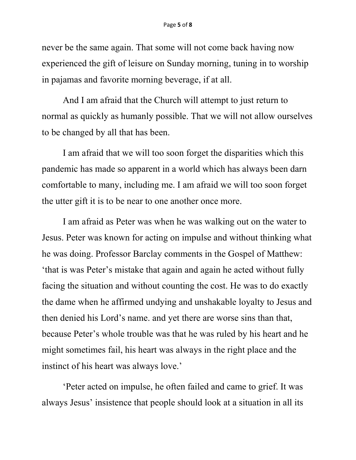never be the same again. That some will not come back having now experienced the gift of leisure on Sunday morning, tuning in to worship in pajamas and favorite morning beverage, if at all.

And I am afraid that the Church will attempt to just return to normal as quickly as humanly possible. That we will not allow ourselves to be changed by all that has been.

I am afraid that we will too soon forget the disparities which this pandemic has made so apparent in a world which has always been darn comfortable to many, including me. I am afraid we will too soon forget the utter gift it is to be near to one another once more.

I am afraid as Peter was when he was walking out on the water to Jesus. Peter was known for acting on impulse and without thinking what he was doing. Professor Barclay comments in the Gospel of Matthew: 'that is was Peter's mistake that again and again he acted without fully facing the situation and without counting the cost. He was to do exactly the dame when he affirmed undying and unshakable loyalty to Jesus and then denied his Lord's name. and yet there are worse sins than that, because Peter's whole trouble was that he was ruled by his heart and he might sometimes fail, his heart was always in the right place and the instinct of his heart was always love.'

'Peter acted on impulse, he often failed and came to grief. It was always Jesus' insistence that people should look at a situation in all its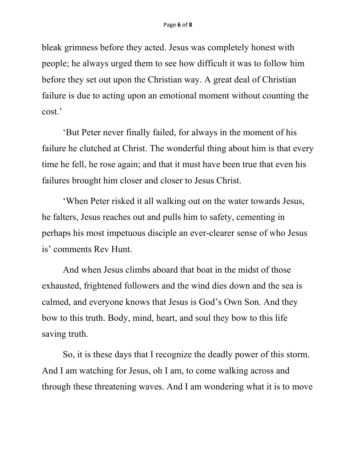bleak grimness before they acted. Jesus was completely honest with people; he always urged them to see how difficult it was to follow him before they set out upon the Christian way. A great deal of Christian failure is due to acting upon an emotional moment without counting the cost.'

'But Peter never finally failed, for always in the moment of his failure he clutched at Christ. The wonderful thing about him is that every time he fell, he rose again; and that it must have been true that even his failures brought him closer and closer to Jesus Christ.

'When Peter risked it all walking out on the water towards Jesus, he falters, Jesus reaches out and pulls him to safety, cementing in perhaps his most impetuous disciple an ever-clearer sense of who Jesus is' comments Rev Hunt.

And when Jesus climbs aboard that boat in the midst of those exhausted, frightened followers and the wind dies down and the sea is calmed, and everyone knows that Jesus is God's Own Son. And they bow to this truth. Body, mind, heart, and soul they bow to this life saving truth.

So, it is these days that I recognize the deadly power of this storm. And I am watching for Jesus, oh I am, to come walking across and through these threatening waves. And I am wondering what it is to move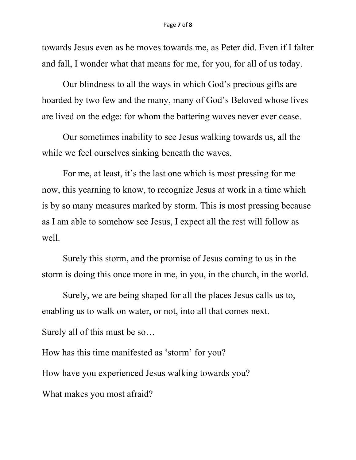towards Jesus even as he moves towards me, as Peter did. Even if I falter and fall, I wonder what that means for me, for you, for all of us today.

Our blindness to all the ways in which God's precious gifts are hoarded by two few and the many, many of God's Beloved whose lives are lived on the edge: for whom the battering waves never ever cease.

Our sometimes inability to see Jesus walking towards us, all the while we feel ourselves sinking beneath the waves.

For me, at least, it's the last one which is most pressing for me now, this yearning to know, to recognize Jesus at work in a time which is by so many measures marked by storm. This is most pressing because as I am able to somehow see Jesus, I expect all the rest will follow as well.

Surely this storm, and the promise of Jesus coming to us in the storm is doing this once more in me, in you, in the church, in the world.

Surely, we are being shaped for all the places Jesus calls us to, enabling us to walk on water, or not, into all that comes next.

Surely all of this must be so…

How has this time manifested as 'storm' for you?

How have you experienced Jesus walking towards you?

What makes you most afraid?